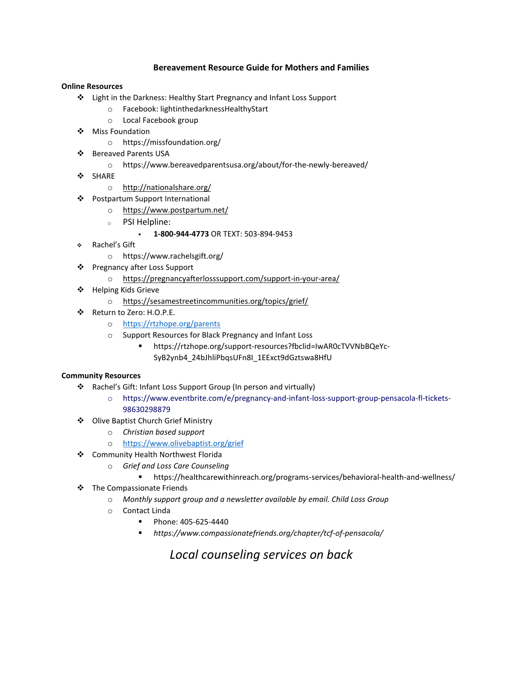## **Bereavement Resource Guide for Mothers and Families**

## **Online Resources**

- Light in the Darkness: Healthy Start Pregnancy and Infant Loss Support
	- o Facebook: lightinthedarknessHealthyStart
	- o Local Facebook group
- ❖ Miss Foundation
	- o https://missfoundation.org/
- Bereaved Parents USA
	- o https://www.bereavedparentsusa.org/about/for-the-newly-bereaved/
- ❖ SHARE
	- o <http://nationalshare.org/>
- Postpartum Support International
	- o <https://www.postpartum.net/>
	- <sup>o</sup> PSI Helpline:
		- **1-800-944-4773** OR TEXT: 503-894-9453
- Rachel's Gift
	- o https://www.rachelsgift.org/
- Pregnancy after Loss Support
	- o <https://pregnancyafterlosssupport.com/support-in-your-area/>
- ❖ Helping Kids Grieve
	- o <https://sesamestreetincommunities.org/topics/grief/>
- Return to Zero: H.O.P.E.
	- o <https://rtzhope.org/parents>
	- o Support Resources for Black Pregnancy and Infant Loss
		- https://rtzhope.org/support-resources?fbclid=IwAR0cTVVNbBQeYc-SyB2ynb4\_24bJhliPbqsUFn8I\_1EExct9dGztswa8HfU

## **Community Resources**

- Rachel's Gift: Infant Loss Support Group (In person and virtually)
	- o https://www.eventbrite.com/e/pregnancy-and-infant-loss-support-group-pensacola-fl-tickets-98630298879
- ❖ Olive Baptist Church Grief Ministry
	- o *Christian based support*
	- o <https://www.olivebaptist.org/grief>
- Community Health Northwest Florida
	- o *Grief and Loss Care Counseling*
		- https://healthcarewithinreach.org/programs-services/behavioral-health-and-wellness/
- The Compassionate Friends
	- o *Monthly support group and a newsletter available by email. Child Loss Group*
	- o Contact Linda
		- **Phone: 405-625-4440**
		- *https://www.compassionatefriends.org/chapter/tcf-of-pensacola/*

*Local counseling services on back*